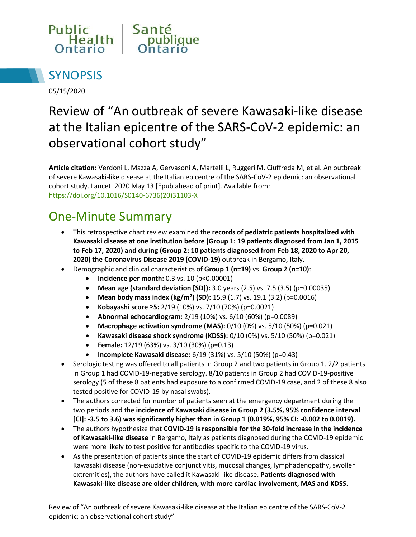



05/15/2020

# Review of "An outbreak of severe Kawasaki-like disease at the Italian epicentre of the SARS-CoV-2 epidemic: an observational cohort study"

**Article citation:** Verdoni L, Mazza A, Gervasoni A, Martelli L, Ruggeri M, Ciuffreda M, et al. An outbreak of severe Kawasaki-like disease at the Italian epicentre of the SARS-CoV-2 epidemic: an observational cohort study. Lancet. 2020 May 13 [Epub ahead of print]. Available from: [https://doi.org/10.1016/S0140-6736\(20\)31103-X](https://doi.org/10.1016/S0140-6736(20)31103-X)

### One-Minute Summary

- This retrospective chart review examined the **records of pediatric patients hospitalized with Kawasaki disease at one institution before (Group 1: 19 patients diagnosed from Jan 1, 2015 to Feb 17, 2020) and during (Group 2: 10 patients diagnosed from Feb 18, 2020 to Apr 20, 2020) the Coronavirus Disease 2019 (COVID-19)** outbreak in Bergamo, Italy.
- Demographic and clinical characteristics of **Group 1 (n=19)** vs. **Group 2 (n=10)**:
	- **•** Incidence per month: 0.3 vs. 10 (p<0.00001)
	- **Mean age (standard deviation [SD]):** 3.0 years (2.5) vs. 7.5 (3.5) (p=0.00035)
	- **Mean body mass index (kg/m<sup>2</sup> ) (SD):** 15.9 (1.7) vs. 19.1 (3.2) (p=0.0016)
	- **Kobayashi score ≥5:** 2/19 (10%) vs. 7/10 (70%) (p=0.0021)
	- **Abnormal echocardiogram:** 2/19 (10%) vs. 6/10 (60%) (p=0.0089)
	- **Macrophage activation syndrome (MAS):** 0/10 (0%) vs. 5/10 (50%) (p=0.021)
	- **Kawasaki disease shock syndrome (KDSS):** 0/10 (0%) vs. 5/10 (50%) (p=0.021)
	- **Female:** 12/19 (63%) vs. 3/10 (30%) (p=0.13)
	- **Incomplete Kawasaki disease:** 6/19 (31%) vs. 5/10 (50%) (p=0.43)
- Serologic testing was offered to all patients in Group 2 and two patients in Group 1. 2/2 patients in Group 1 had COVID-19-negative serology. 8/10 patients in Group 2 had COVID-19-positive serology (5 of these 8 patients had exposure to a confirmed COVID-19 case, and 2 of these 8 also tested positive for COVID-19 by nasal swabs).
- The authors corrected for number of patients seen at the emergency department during the two periods and the **incidence of Kawasaki disease in Group 2 (3.5%, 95% confidence interval [CI]: -3.5 to 3.6) was significantly higher than in Group 1 (0.019%, 95% CI: -0.002 to 0.0019).**
- The authors hypothesize that **COVID-19 is responsible for the 30-fold increase in the incidence of Kawasaki-like disease** in Bergamo, Italy as patients diagnosed during the COVID-19 epidemic were more likely to test positive for antibodies specific to the COVID-19 virus.
- As the presentation of patients since the start of COVID-19 epidemic differs from classical Kawasaki disease (non-exudative conjunctivitis, mucosal changes, lymphadenopathy, swollen extremities), the authors have called it Kawasaki-like disease. **Patients diagnosed with Kawasaki-like disease are older children, with more cardiac involvement, MAS and KDSS.**

Review of "An outbreak of severe Kawasaki-like disease at the Italian epicentre of the SARS-CoV-2 epidemic: an observational cohort study"